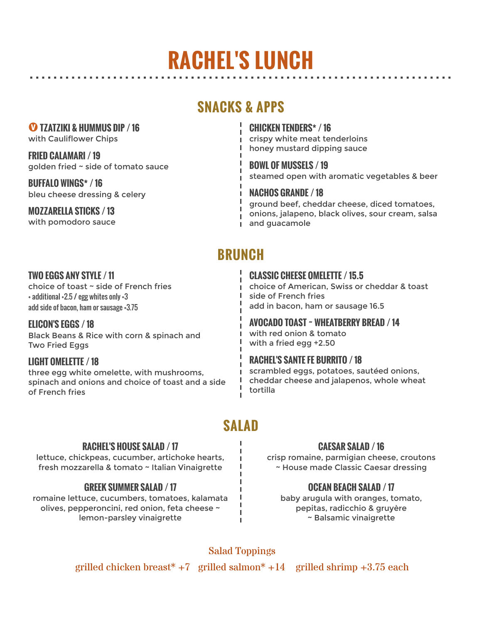## $\bf B$ B $\bf B$ B $\bf B$ B $\bf B$ B $\bf B$ B $\bf B$ B $\bf B$ B $\bf B$ B $\bf B$ B $\bf B$ B $\bf B$ B $\bf B$ B $\bf B$ B $\bf B$ B $\bf B$ B $\bf B$ B $\bf B$ B $\bf B$ B $\bf B$ B $\bf B$ B $\bf B$ B $\bf B$ B $\bf B$ B $\bf B$ B $\bf B$ B $\bf B$ B $\bf B$ B $\bf B$ B $\bf B$ B $\bf B$ B $\bf B$ B $\bf B$ B $\bf B$ B $\bf B$ B $\bf B$ B $\bf B$ B $\bf B$ **RACHEL'S LUNCH**

## **SNACKS & APPS**

´**TZATZIKI & HUMMUS DIP / 16**

with Cauliflower Chips

**FRIED CALAMARI / 19** golden fried ~ side of tomato sauce **BOWL OF MUSSELS / 19** 

**BUFFALO WINGS\* / 16** bleu cheese dressing & celery **NACHOS GRANDE** / 18

**MOZZARELLA STICKS / 13** with pomodoro sauce **CHICKEN TENDERS\* / 16** crispy white meat tenderloins honey mustard dipping sauce

steamed open with aromatic vegetables & beer

ground beef, cheddar cheese, diced tomatoes, onions, jalapeno, black olives, sour cream, salsa and guacamole

## **BRUNCH**

 $\mathbf{L}$ 

### **TWO EGGS ANY STYLE / 11**

choice of toast ~ side of French fries + additional +2.5 / egg whites only +3 add side of bacon, ham or sausage +3.75

**ELICON'S EGGS / 18** Black Beans & Rice with corn & spinach and Two Fried Eggs

## **LIGHT OMELETTE / 18**

three egg white omelette, with mushrooms, spinach and onions and choice of toast and a side of French fries

## **CLASSIC CHEESE OMELETTE / 15.5**

choice of American, Swiss or cheddar & toast side of French fries add in bacon, ham or sausage 16.5

**AVOCADO TOAST ~ WHEATBERRY BREAD / 14**

with red onion & tomato with a fried egg +2.50

## **RACHEL'S SANTE FE BURRITO / 18**

scrambled eggs, potatoes, sautéed onions, cheddar cheese and jalapenos, whole wheat tortilla

## **SALAD**

### **RACHEL'S HOUSE SALAD / 17**

lettuce, chickpeas, cucumber, artichoke hearts, fresh mozzarella & tomato ~ Italian Vinaigrette

## **GREEK SUMMER SALAD / 17**

romaine lettuce, cucumbers, tomatoes, kalamata olives, pepperoncini, red onion, feta cheese ~ lemon-parsley vinaigrette

### **CAESAR SALAD / 16**

crisp romaine, parmigian cheese, croutons ~ House made Classic Caesar dressing

## **OCEAN BEACH SALAD / 17**

baby arugula with oranges, tomato, pepitas, radicchio & gruyère ~ Balsamic vinaigrette

Salad Toppings

Ĭ.

grilled chicken breast<sup>\*</sup> +7 grilled salmon<sup>\*</sup> +14 grilled shrimp +3.75 each